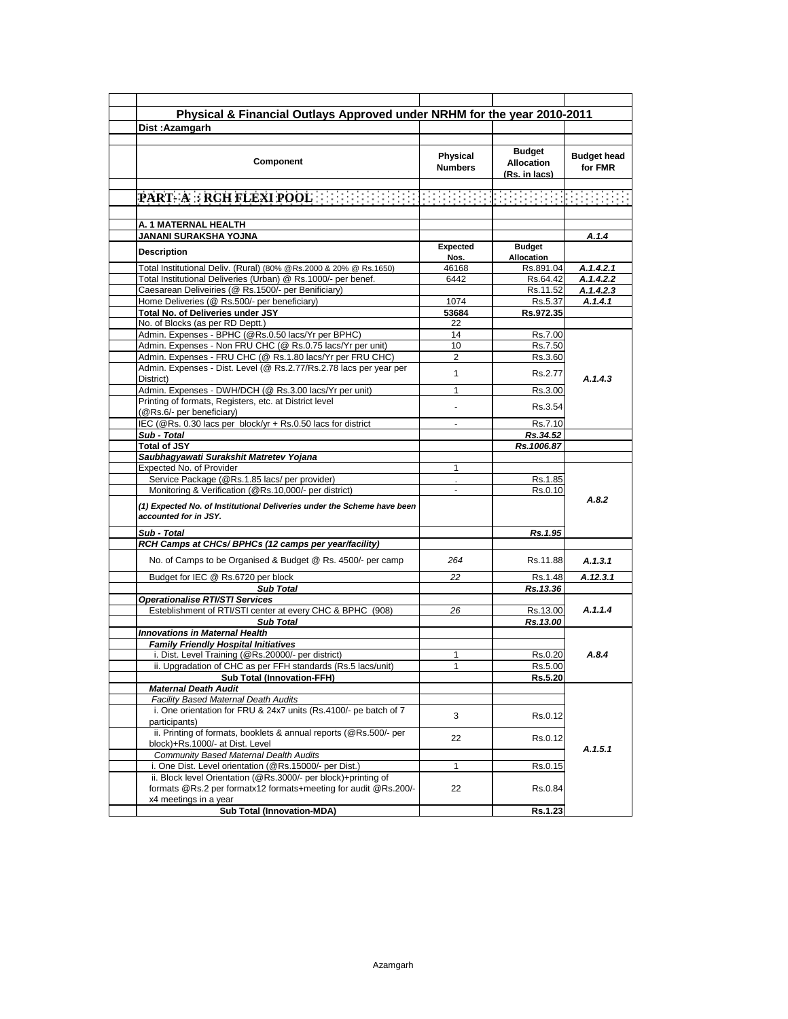| Physical & Financial Outlays Approved under NRHM for the year 2010-2011<br>Dist: Azamgarh                                                                  |                            |                                                     |                               |  |
|------------------------------------------------------------------------------------------------------------------------------------------------------------|----------------------------|-----------------------------------------------------|-------------------------------|--|
|                                                                                                                                                            |                            |                                                     |                               |  |
| Component                                                                                                                                                  | Physical<br><b>Numbers</b> | <b>Budget</b><br><b>Allocation</b><br>(Rs. in lacs) | <b>Budget head</b><br>for FMR |  |
|                                                                                                                                                            |                            |                                                     |                               |  |
|                                                                                                                                                            |                            |                                                     |                               |  |
| A. 1 MATERNAL HEALTH                                                                                                                                       |                            |                                                     |                               |  |
| JANANI SURAKSHA YOJNA                                                                                                                                      |                            |                                                     | A.1.4                         |  |
| <b>Description</b>                                                                                                                                         | Expected<br>Nos.           | <b>Budget</b><br>Allocation                         |                               |  |
| Total Institutional Deliv. (Rural) (80% @Rs.2000 & 20% @ Rs.1650)                                                                                          | 46168                      | Rs.891.04                                           | A.1.4.2.1                     |  |
| Total Institutional Deliveries (Urban) @ Rs.1000/- per benef.                                                                                              | 6442                       | Rs.64.42                                            | A.1.4.2.2                     |  |
| Caesarean Deliveiries (@ Rs.1500/- per Benificiary)                                                                                                        |                            | Rs.11.52                                            | A.1.4.2.3                     |  |
| Home Deliveries (@ Rs.500/- per beneficiary)                                                                                                               | 1074                       | Rs.5.37                                             | A.1.4.1                       |  |
| Total No. of Deliveries under JSY                                                                                                                          | 53684                      | Rs.972.35                                           |                               |  |
| No. of Blocks (as per RD Deptt.)                                                                                                                           | 22                         |                                                     |                               |  |
| Admin. Expenses - BPHC (@Rs.0.50 lacs/Yr per BPHC)                                                                                                         | 14                         | Rs.7.00                                             |                               |  |
| Admin. Expenses - Non FRU CHC (@ Rs.0.75 lacs/Yr per unit)                                                                                                 | 10                         | Rs.7.50                                             |                               |  |
| Admin. Expenses - FRU CHC (@ Rs.1.80 lacs/Yr per FRU CHC)                                                                                                  | 2                          | Rs.3.60                                             |                               |  |
| Admin. Expenses - Dist. Level (@ Rs.2.77/Rs.2.78 lacs per year per<br>District)                                                                            | $\mathbf{1}$               | Rs.2.77                                             | A.1.4.3                       |  |
| Admin. Expenses - DWH/DCH (@ Rs.3.00 lacs/Yr per unit)                                                                                                     | 1                          | Rs.3.00                                             |                               |  |
| Printing of formats, Registers, etc. at District level                                                                                                     | ä,                         | Rs.3.54                                             |                               |  |
| (@Rs.6/- per beneficiary)                                                                                                                                  |                            |                                                     |                               |  |
| IEC (@Rs. 0.30 lacs per block/yr + Rs.0.50 lacs for district                                                                                               | $\overline{a}$             | Rs.7.10                                             |                               |  |
| Sub - Total<br><b>Total of JSY</b>                                                                                                                         |                            | Rs.34.52                                            |                               |  |
| Saubhagyawati Surakshit Matretev Yojana                                                                                                                    |                            | Rs.1006.87                                          |                               |  |
|                                                                                                                                                            |                            |                                                     |                               |  |
| Expected No. of Provider                                                                                                                                   | $\mathbf{1}$               |                                                     |                               |  |
| Service Package (@Rs.1.85 lacs/per provider)<br>Monitoring & Verification (@Rs.10,000/- per district)                                                      | $\blacksquare$             | Rs.1.85<br>Rs.0.10                                  |                               |  |
| (1) Expected No. of Institutional Deliveries under the Scheme have been<br>accounted for in JSY.                                                           |                            |                                                     | A.8.2                         |  |
| Sub - Total                                                                                                                                                |                            | Rs.1.95                                             |                               |  |
| RCH Camps at CHCs/BPHCs (12 camps per year/facility)                                                                                                       |                            |                                                     |                               |  |
| No. of Camps to be Organised & Budget @ Rs. 4500/- per camp                                                                                                | 264                        | Rs.11.88                                            | A.1.3.1                       |  |
| Budget for IEC @ Rs.6720 per block                                                                                                                         | 22                         | Rs.1.48                                             | A.12.3.1                      |  |
| <b>Sub Total</b>                                                                                                                                           |                            | Rs.13.36                                            |                               |  |
| <b>Operationalise RTI/STI Services</b>                                                                                                                     |                            |                                                     |                               |  |
| Esteblishment of RTI/STI center at every CHC & BPHC (908)                                                                                                  | 26                         | Rs.13.00                                            | A.1.1.4                       |  |
| <b>Sub Total</b>                                                                                                                                           |                            | Rs.13.00                                            |                               |  |
| <b>Innovations in Maternal Health</b>                                                                                                                      |                            |                                                     |                               |  |
| <b>Family Friendly Hospital Initiatives</b>                                                                                                                |                            |                                                     |                               |  |
| i. Dist. Level Training (@Rs.20000/- per district)                                                                                                         | 1                          | Rs.0.20                                             | A.8.4                         |  |
| ii. Upgradation of CHC as per FFH standards (Rs.5 lacs/unit)                                                                                               | $\mathbf{1}$               | Rs.5.00                                             |                               |  |
|                                                                                                                                                            |                            | Rs.5.20                                             |                               |  |
|                                                                                                                                                            |                            |                                                     |                               |  |
| <b>Sub Total (Innovation-FFH)</b><br><b>Maternal Death Audit</b>                                                                                           |                            |                                                     |                               |  |
|                                                                                                                                                            |                            |                                                     |                               |  |
| <b>Facility Based Maternal Death Audits</b><br>i. One orientation for FRU & 24x7 units (Rs.4100/- pe batch of 7                                            | 3                          | Rs.0.12                                             |                               |  |
| participants)<br>ii. Printing of formats, booklets & annual reports (@Rs.500/- per                                                                         | 22                         | Rs.0.12                                             |                               |  |
| block)+Rs.1000/- at Dist. Level                                                                                                                            |                            |                                                     | A.1.5.1                       |  |
| Community Based Maternal Dealth Audits                                                                                                                     |                            |                                                     |                               |  |
| i. One Dist. Level orientation (@Rs.15000/- per Dist.)                                                                                                     | 1                          | Rs.0.15                                             |                               |  |
| ii. Block level Orientation (@Rs.3000/- per block)+printing of<br>formats @Rs.2 per formatx12 formats+meeting for audit @Rs.200/-<br>x4 meetings in a year | 22                         | Rs.0.84                                             |                               |  |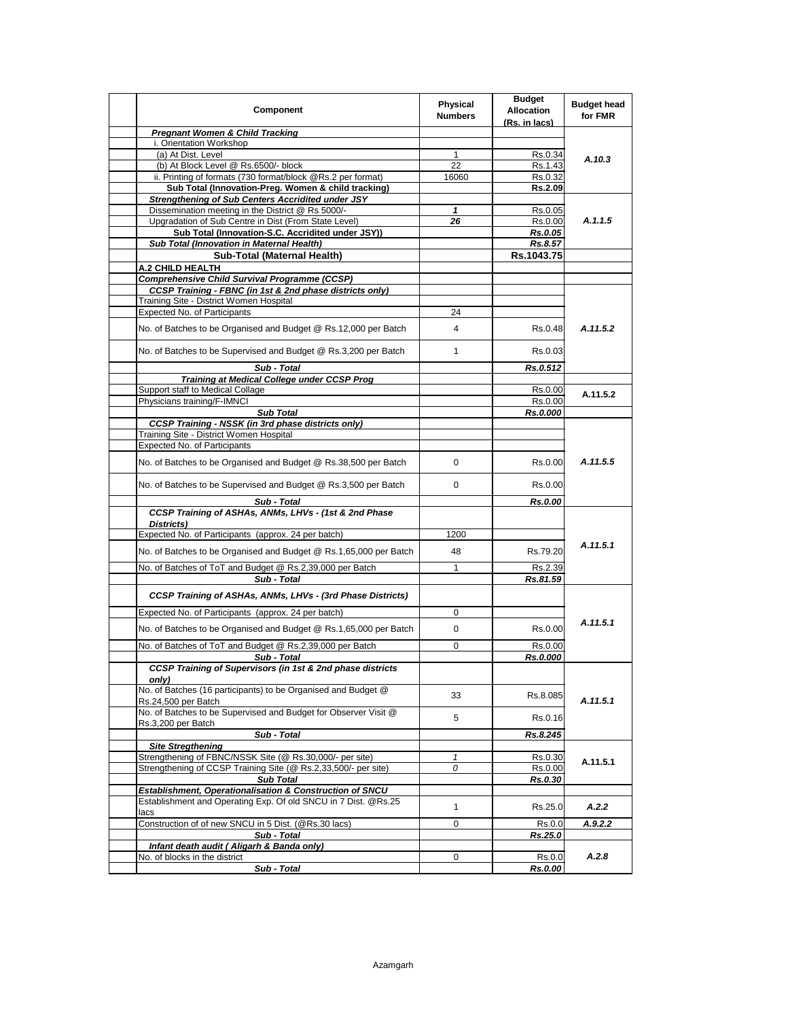| Component                                                                                            | Physical<br><b>Numbers</b> | <b>Budget</b><br><b>Allocation</b><br>(Rs. in lacs) | <b>Budget head</b><br>for FMR |
|------------------------------------------------------------------------------------------------------|----------------------------|-----------------------------------------------------|-------------------------------|
| <b>Pregnant Women &amp; Child Tracking</b>                                                           |                            |                                                     |                               |
| i. Orientation Workshop                                                                              |                            |                                                     | A.10.3                        |
| (a) At Dist. Level                                                                                   | $\mathbf{1}$               | Rs.0.34                                             |                               |
| (b) At Block Level @ Rs.6500/- block                                                                 | $\overline{22}$            | Rs.1.43                                             |                               |
| ii. Printing of formats (730 format/block @Rs.2 per format)                                          | 16060                      | Rs.0.32                                             |                               |
| Sub Total (Innovation-Preg. Women & child tracking)                                                  |                            | Rs.2.09                                             |                               |
| <b>Strengthening of Sub Centers Accridited under JSY</b>                                             |                            |                                                     |                               |
| Dissemination meeting in the District @ Rs 5000/-                                                    | $\mathbf{1}$               | Rs.0.05                                             |                               |
| Upgradation of Sub Centre in Dist (From State Level)                                                 | 26                         | Rs.0.00                                             | A.1.1.5                       |
| Sub Total (Innovation-S.C. Accridited under JSY))                                                    |                            | Rs.0.05                                             |                               |
| Sub Total (Innovation in Maternal Health)                                                            |                            | Rs.8.57                                             |                               |
| <b>Sub-Total (Maternal Health)</b>                                                                   |                            | Rs.1043.75                                          |                               |
| A.2 CHILD HEALTH                                                                                     |                            |                                                     |                               |
| <b>Comprehensive Child Survival Programme (CCSP)</b>                                                 |                            |                                                     |                               |
| CCSP Training - FBNC (in 1st & 2nd phase districts only)                                             |                            |                                                     |                               |
| Training Site - District Women Hospital<br><b>Expected No. of Participants</b>                       | 24                         |                                                     |                               |
|                                                                                                      |                            |                                                     |                               |
| No. of Batches to be Organised and Budget @ Rs.12,000 per Batch                                      | 4                          | Rs.0.48                                             | A.11.5.2                      |
| No. of Batches to be Supervised and Budget @ Rs.3,200 per Batch                                      | $\mathbf{1}$               | Rs.0.03                                             |                               |
| Sub - Total                                                                                          |                            | Rs.0.512                                            |                               |
| <b>Training at Medical College under CCSP Prog</b>                                                   |                            |                                                     |                               |
| Support staff to Medical Collage                                                                     |                            | Rs.0.00                                             | A.11.5.2                      |
| Physicians training/F-IMNCI                                                                          |                            | Rs.0.00                                             |                               |
| <b>Sub Total</b>                                                                                     |                            | Rs.0.000                                            |                               |
| <b>CCSP Training - NSSK (in 3rd phase districts only)</b><br>Training Site - District Women Hospital |                            |                                                     |                               |
| <b>Expected No. of Participants</b>                                                                  |                            |                                                     | A.11.5.5                      |
| No. of Batches to be Organised and Budget @ Rs.38,500 per Batch                                      | 0                          | Rs.0.00                                             |                               |
| No. of Batches to be Supervised and Budget @ Rs.3,500 per Batch                                      | 0                          | Rs.0.00                                             |                               |
| Sub - Total                                                                                          |                            | Rs.0.00                                             |                               |
| CCSP Training of ASHAs, ANMs, LHVs - (1st & 2nd Phase<br>Districts)                                  |                            |                                                     |                               |
| Expected No. of Participants (approx. 24 per batch)                                                  | 1200                       |                                                     |                               |
|                                                                                                      |                            |                                                     | A.11.5.1                      |
| No. of Batches to be Organised and Budget @ Rs.1,65,000 per Batch                                    | 48                         | Rs.79.20                                            |                               |
| No. of Batches of ToT and Budget @ Rs.2,39,000 per Batch                                             | $\mathbf{1}$               | Rs.2.39                                             |                               |
| Sub - Total                                                                                          |                            | Rs.81.59                                            |                               |
| CCSP Training of ASHAs, ANMs, LHVs - (3rd Phase Districts)                                           |                            |                                                     |                               |
| Expected No. of Participants (approx. 24 per batch)                                                  | 0                          |                                                     |                               |
| No. of Batches to be Organised and Budget @ Rs.1,65,000 per Batch                                    | 0                          | Rs.0.00                                             | A.11.5.1                      |
| No. of Batches of ToT and Budget @ Rs.2,39,000 per Batch                                             | 0                          | Rs.0.00                                             |                               |
| Sub - Total                                                                                          |                            | Rs.0.000                                            |                               |
| <b>CCSP Training of Supervisors (in 1st &amp; 2nd phase districts</b><br>only)                       |                            |                                                     |                               |
| No. of Batches (16 participants) to be Organised and Budget @<br>Rs.24,500 per Batch                 | 33                         | Rs.8.085                                            | A.11.5.1                      |
| No. of Batches to be Supervised and Budget for Observer Visit @<br>Rs.3,200 per Batch                | 5                          | Rs.0.16                                             |                               |
| Sub - Total                                                                                          |                            | Rs.8.245                                            |                               |
| <b>Site Stregthening</b>                                                                             |                            |                                                     |                               |
| Strengthening of FBNC/NSSK Site (@ Rs.30,000/- per site)                                             | 1                          | Rs.0.30                                             | A.11.5.1                      |
| Strengthening of CCSP Training Site (@ Rs.2,33,500/- per site)                                       | 0                          | Rs.0.00                                             |                               |
| <b>Sub Total</b>                                                                                     |                            | Rs.0.30                                             |                               |
| Establishment, Operationalisation & Construction of SNCU                                             |                            |                                                     |                               |
| Establishment and Operating Exp. Of old SNCU in 7 Dist. @Rs.25<br>lacs                               | $\mathbf{1}$               | Rs.25.0                                             | A.2.2                         |
| Construction of of new SNCU in 5 Dist. (@Rs.30 lacs)                                                 | 0                          | Rs.0.0                                              | A.9.2.2                       |
| Sub - Total                                                                                          |                            | Rs.25.0                                             |                               |
| Infant death audit (Aligarh & Banda only)                                                            |                            |                                                     |                               |
| No. of blocks in the district                                                                        | 0                          | Rs.0.0                                              | A.2.8                         |
| Sub - Total                                                                                          |                            | Rs.0.00                                             |                               |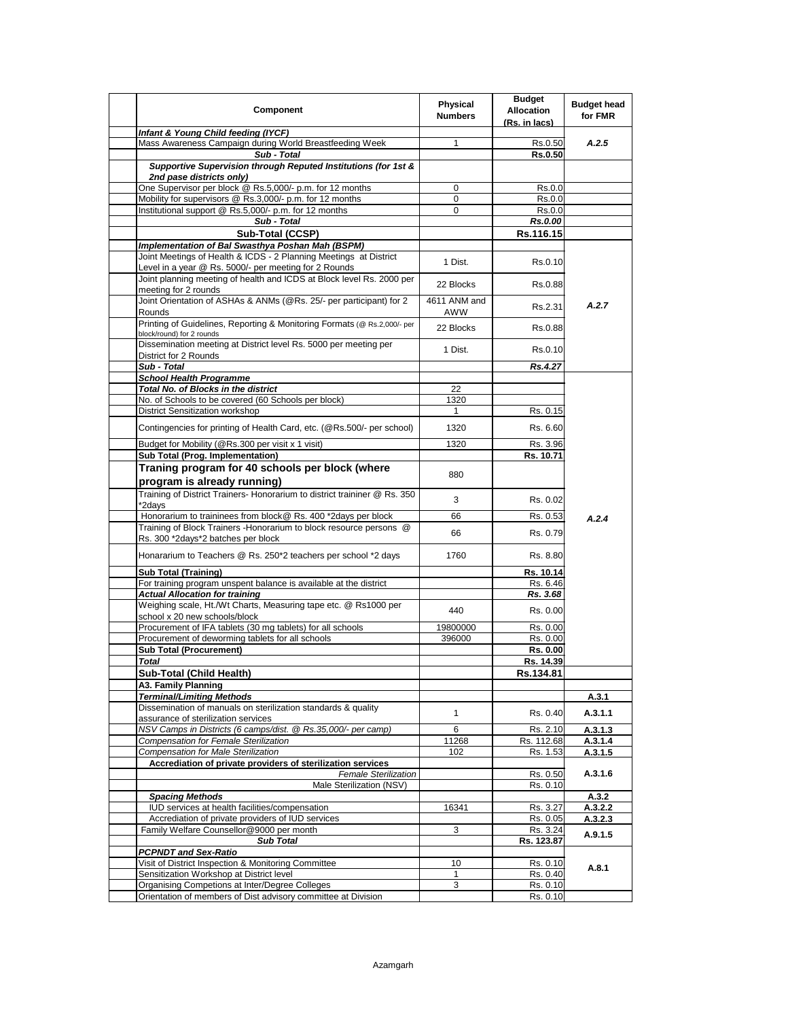| <b>Component</b>                                                                                                                          | Physical<br><b>Numbers</b> | <b>Budget</b><br><b>Allocation</b><br>(Rs. in lacs) | <b>Budget head</b><br>for FMR |
|-------------------------------------------------------------------------------------------------------------------------------------------|----------------------------|-----------------------------------------------------|-------------------------------|
| Infant & Young Child feeding (IYCF)                                                                                                       |                            |                                                     |                               |
| Mass Awareness Campaign during World Breastfeeding Week<br>Sub - Total                                                                    | 1                          | Rs.0.50<br><b>Rs.0.50</b>                           | A.2.5                         |
| Supportive Supervision through Reputed Institutions (for 1st &<br>2nd pase districts only)                                                |                            |                                                     |                               |
| One Supervisor per block @ Rs.5,000/- p.m. for 12 months                                                                                  | 0                          | Rs.0.0                                              |                               |
| Mobility for supervisors @ Rs.3,000/- p.m. for 12 months                                                                                  | 0                          | Rs.0.0                                              |                               |
| Institutional support @ Rs.5,000/- p.m. for 12 months<br>Sub - Total                                                                      | $\mathbf 0$                | Rs.0.0<br>Rs.0.00                                   |                               |
| Sub-Total (CCSP)                                                                                                                          |                            | Rs.116.15                                           |                               |
| Implementation of Bal Swasthya Poshan Mah (BSPM)                                                                                          |                            |                                                     |                               |
| Joint Meetings of Health & ICDS - 2 Planning Meetings at District<br>Level in a year @ Rs. 5000/- per meeting for 2 Rounds                | 1 Dist.                    | Rs.0.10                                             |                               |
| Joint planning meeting of health and ICDS at Block level Rs. 2000 per<br>meeting for 2 rounds                                             | 22 Blocks                  | Rs.0.88                                             |                               |
| Joint Orientation of ASHAs & ANMs (@Rs. 25/- per participant) for 2<br>Rounds                                                             | 4611 ANM and<br>AWW        | Rs.2.31                                             | A.2.7                         |
| Printing of Guidelines, Reporting & Monitoring Formats (@ Rs.2,000/- per<br>block/round) for 2 rounds                                     | 22 Blocks                  | Rs.0.88                                             |                               |
| Dissemination meeting at District level Rs. 5000 per meeting per<br>District for 2 Rounds                                                 | 1 Dist.                    | Rs.0.10                                             |                               |
| Sub - Total                                                                                                                               |                            | Rs.4.27                                             |                               |
| <b>School Health Programme</b><br>Total No. of Blocks in the district                                                                     | 22                         |                                                     |                               |
| No. of Schools to be covered (60 Schools per block)                                                                                       | 1320                       |                                                     |                               |
| <b>District Sensitization workshop</b>                                                                                                    | $\mathbf{1}$               | Rs. 0.15                                            |                               |
| Contingencies for printing of Health Card, etc. (@Rs.500/- per school)                                                                    | 1320                       | Rs. 6.60                                            |                               |
| Budget for Mobility (@Rs.300 per visit x 1 visit)                                                                                         | 1320                       | Rs. 3.96                                            |                               |
| Sub Total (Prog. Implementation)                                                                                                          |                            | Rs. 10.71                                           |                               |
| Traning program for 40 schools per block (where<br>program is already running)                                                            | 880                        |                                                     |                               |
| Training of District Trainers- Honorarium to district traininer @ Rs. 350                                                                 | 3                          | Rs. 0.02                                            |                               |
| *2days<br>Honorarium to traininees from block@ Rs. 400 *2days per block                                                                   | 66                         | Rs. 0.53                                            |                               |
| Training of Block Trainers - Honorarium to block resource persons @                                                                       |                            |                                                     | A.2.4                         |
| Rs. 300 *2days*2 batches per block                                                                                                        | 66                         | Rs. 0.79                                            |                               |
| Honararium to Teachers @ Rs. 250*2 teachers per school *2 days                                                                            | 1760                       | Rs. 8.80                                            |                               |
| <b>Sub Total (Training)</b>                                                                                                               |                            | Rs. 10.14                                           |                               |
| For training program unspent balance is available at the district                                                                         |                            | Rs. 6.46                                            |                               |
| <b>Actual Allocation for training</b><br>Weighing scale, Ht./Wt Charts, Measuring tape etc. @ Rs1000 per<br>school x 20 new schools/block | 440                        | Rs. 3.68<br>Rs. 0.00                                |                               |
| Procurement of IFA tablets (30 mg tablets) for all schools                                                                                | 19800000                   | Rs. 0.00                                            |                               |
| Procurement of deworming tablets for all schools                                                                                          | 396000                     | Rs. 0.00                                            |                               |
| Sub Total (Procurement)                                                                                                                   |                            | Rs. 0.00                                            |                               |
| <b>Total</b>                                                                                                                              |                            | Rs. 14.39                                           |                               |
| Sub-Total (Child Health)                                                                                                                  |                            | Rs.134.81                                           |                               |
| A3. Family Planning<br><b>Terminal/Limiting Methods</b>                                                                                   |                            |                                                     | A.3.1                         |
| Dissemination of manuals on sterilization standards & quality<br>assurance of sterilization services                                      | 1                          | Rs. 0.40                                            | A.3.1.1                       |
| NSV Camps in Districts (6 camps/dist. @ Rs.35,000/- per camp)                                                                             | 6                          | Rs. 2.10                                            | A.3.1.3                       |
| Compensation for Female Sterilization                                                                                                     | 11268                      | Rs. 112.68                                          | A.3.1.4                       |
| <b>Compensation for Male Sterilization</b>                                                                                                | 102                        | Rs. 1.53                                            | A.3.1.5                       |
| Accrediation of private providers of sterilization services                                                                               |                            |                                                     |                               |
| <b>Female Sterilization</b><br>Male Sterilization (NSV)                                                                                   |                            | Rs. 0.50<br>Rs. 0.10                                | A.3.1.6                       |
| <b>Spacing Methods</b>                                                                                                                    |                            |                                                     | A.3.2                         |
| IUD services at health facilities/compensation                                                                                            | 16341                      | Rs. 3.27                                            | A.3.2.2                       |
| Accrediation of private providers of IUD services                                                                                         |                            | Rs. 0.05                                            | A.3.2.3                       |
| Family Welfare Counsellor@9000 per month                                                                                                  | 3                          | Rs. 3.24                                            | A.9.1.5                       |
| <b>Sub Total</b>                                                                                                                          |                            | Rs. 123.87                                          |                               |
| <b>PCPNDT and Sex-Ratio</b><br>Visit of District Inspection & Monitoring Committee                                                        | 10                         | Rs. 0.10                                            |                               |
| Sensitization Workshop at District level                                                                                                  | $\mathbf{1}$               | Rs. 0.40                                            | A.8.1                         |
| Organising Competions at Inter/Degree Colleges                                                                                            | 3                          | Rs. 0.10                                            |                               |
| Orientation of members of Dist advisory committee at Division                                                                             |                            | Rs. 0.10                                            |                               |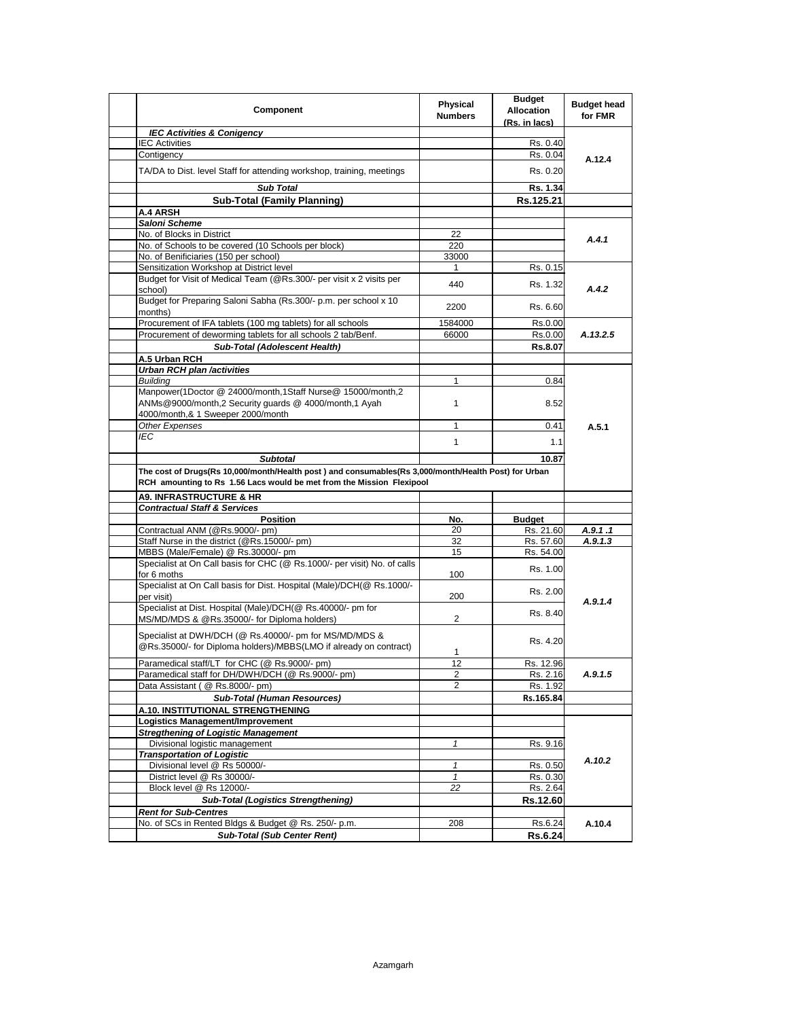| Component                                                                                                                                                                     | Physical<br><b>Numbers</b> | <b>Budget</b><br><b>Allocation</b><br>(Rs. in lacs) | <b>Budget head</b><br>for FMR |  |
|-------------------------------------------------------------------------------------------------------------------------------------------------------------------------------|----------------------------|-----------------------------------------------------|-------------------------------|--|
| <b>IEC Activities &amp; Conigency</b>                                                                                                                                         |                            |                                                     |                               |  |
| <b>IEC Activities</b>                                                                                                                                                         |                            | Rs. 0.40                                            |                               |  |
| Contigency                                                                                                                                                                    |                            | Rs. 0.04                                            | A.12.4                        |  |
| TA/DA to Dist. level Staff for attending workshop, training, meetings                                                                                                         |                            | Rs. 0.20                                            |                               |  |
| <b>Sub Total</b>                                                                                                                                                              |                            | Rs. 1.34                                            |                               |  |
| <b>Sub-Total (Family Planning)</b>                                                                                                                                            |                            | Rs.125.21                                           |                               |  |
| <b>A.4 ARSH</b>                                                                                                                                                               |                            |                                                     |                               |  |
| Saloni Scheme                                                                                                                                                                 |                            |                                                     |                               |  |
| No. of Blocks in District                                                                                                                                                     | 22                         |                                                     | A.4.1                         |  |
| No. of Schools to be covered (10 Schools per block)                                                                                                                           | 220                        |                                                     |                               |  |
| No. of Benificiaries (150 per school)                                                                                                                                         | 33000                      |                                                     |                               |  |
| Sensitization Workshop at District level                                                                                                                                      | 1                          | Rs. 0.15                                            |                               |  |
| Budget for Visit of Medical Team (@Rs.300/- per visit x 2 visits per<br>school)                                                                                               | 440                        | Rs. 1.32                                            | A.4.2                         |  |
| Budget for Preparing Saloni Sabha (Rs.300/- p.m. per school x 10                                                                                                              | 2200                       | Rs. 6.60                                            |                               |  |
| months)<br>Procurement of IFA tablets (100 mg tablets) for all schools                                                                                                        |                            | Rs.0.00                                             |                               |  |
| Procurement of deworming tablets for all schools 2 tab/Benf.                                                                                                                  | 1584000<br>66000           |                                                     |                               |  |
| Sub-Total (Adolescent Health)                                                                                                                                                 |                            | Rs.0.00                                             | A.13.2.5                      |  |
|                                                                                                                                                                               |                            | Rs.8.07                                             |                               |  |
| A.5 Urban RCH                                                                                                                                                                 |                            |                                                     |                               |  |
| Urban RCH plan /activities                                                                                                                                                    |                            |                                                     |                               |  |
| <b>Building</b>                                                                                                                                                               | 1                          | 0.84                                                |                               |  |
| Manpower(1Doctor @ 24000/month,1Staff Nurse@ 15000/month,2<br>ANMs@9000/month,2 Security guards @ 4000/month,1 Ayah                                                           | 1                          | 8.52                                                |                               |  |
| 4000/month,& 1 Sweeper 2000/month                                                                                                                                             |                            |                                                     |                               |  |
| <b>Other Expenses</b>                                                                                                                                                         | 1                          | 0.41                                                | A.5.1                         |  |
| IEC                                                                                                                                                                           | $\mathbf{1}$               | 1.1                                                 |                               |  |
| <b>Subtotal</b>                                                                                                                                                               |                            | 10.87                                               |                               |  |
|                                                                                                                                                                               |                            |                                                     |                               |  |
| The cost of Drugs(Rs 10,000/month/Health post) and consumables(Rs 3,000/month/Health Post) for Urban<br>RCH amounting to Rs 1.56 Lacs would be met from the Mission Flexipool |                            |                                                     |                               |  |
|                                                                                                                                                                               |                            |                                                     |                               |  |
| <b>A9. INFRASTRUCTURE &amp; HR</b>                                                                                                                                            |                            |                                                     |                               |  |
| <b>Contractual Staff &amp; Services</b>                                                                                                                                       |                            |                                                     |                               |  |
| <b>Position</b>                                                                                                                                                               | No.                        | <b>Budget</b>                                       |                               |  |
| Contractual ANM (@Rs.9000/- pm)                                                                                                                                               | 20<br>32                   | Rs. 21.60                                           | A.9.1.1                       |  |
| Staff Nurse in the district (@Rs.15000/- pm)                                                                                                                                  | 15                         | Rs. 57.60                                           | A.9.1.3                       |  |
| MBBS (Male/Female) @ Rs.30000/- pm<br>Specialist at On Call basis for CHC (@ Rs.1000/- per visit) No. of calls                                                                |                            | Rs. 54.00<br>Rs. 1.00                               |                               |  |
| for 6 moths<br>Specialist at On Call basis for Dist. Hospital (Male)/DCH(@ Rs.1000/-                                                                                          | 100                        | Rs. 2.00                                            |                               |  |
| per visit)                                                                                                                                                                    | 200                        |                                                     | A.9.1.4                       |  |
| Specialist at Dist. Hospital (Male)/DCH(@ Rs.40000/- pm for<br>MS/MD/MDS & @Rs.35000/- for Diploma holders)                                                                   | 2                          | Rs. 8.40                                            |                               |  |
| Specialist at DWH/DCH (@ Rs.40000/- pm for MS/MD/MDS &<br>@Rs.35000/- for Diploma holders)/MBBS(LMO if already on contract)                                                   | 1                          | Rs. 4.20                                            |                               |  |
|                                                                                                                                                                               | 12                         |                                                     |                               |  |
| Paramedical staff/LT for CHC (@ Rs.9000/- pm)                                                                                                                                 |                            | Rs. 12.96                                           |                               |  |
| Paramedical staff for DH/DWH/DCH (@ Rs.9000/- pm)<br>Data Assistant ( @ Rs.8000/- pm)                                                                                         | 2<br>2                     | Rs. 2.16                                            | A.9.1.5                       |  |
|                                                                                                                                                                               |                            | Rs. 1.92                                            |                               |  |
| <b>Sub-Total (Human Resources)</b>                                                                                                                                            |                            | Rs.165.84                                           |                               |  |
| A.10. INSTITUTIONAL STRENGTHENING                                                                                                                                             |                            |                                                     |                               |  |
| Logistics Management/Improvement                                                                                                                                              |                            |                                                     |                               |  |
| <b>Stregthening of Logistic Management</b>                                                                                                                                    | $\mathbf{1}$               | Rs. 9.16                                            |                               |  |
| Divisional logistic management<br><b>Transportation of Logistic</b>                                                                                                           |                            |                                                     |                               |  |
| Divisional level @ Rs 50000/-                                                                                                                                                 | $\mathbf{1}$               | Rs. 0.50                                            | A.10.2                        |  |
| District level @ Rs 30000/-                                                                                                                                                   | $\mathbf{1}$               | Rs. 0.30                                            |                               |  |
| Block level @ Rs 12000/-                                                                                                                                                      | 22                         | Rs. 2.64                                            |                               |  |
| <b>Sub-Total (Logistics Strengthening)</b>                                                                                                                                    |                            |                                                     |                               |  |
|                                                                                                                                                                               |                            | Rs.12.60                                            |                               |  |
| <b>Rent for Sub-Centres</b><br>No. of SCs in Rented Bldgs & Budget @ Rs. 250/- p.m.                                                                                           | 208                        | Rs.6.24                                             | A.10.4                        |  |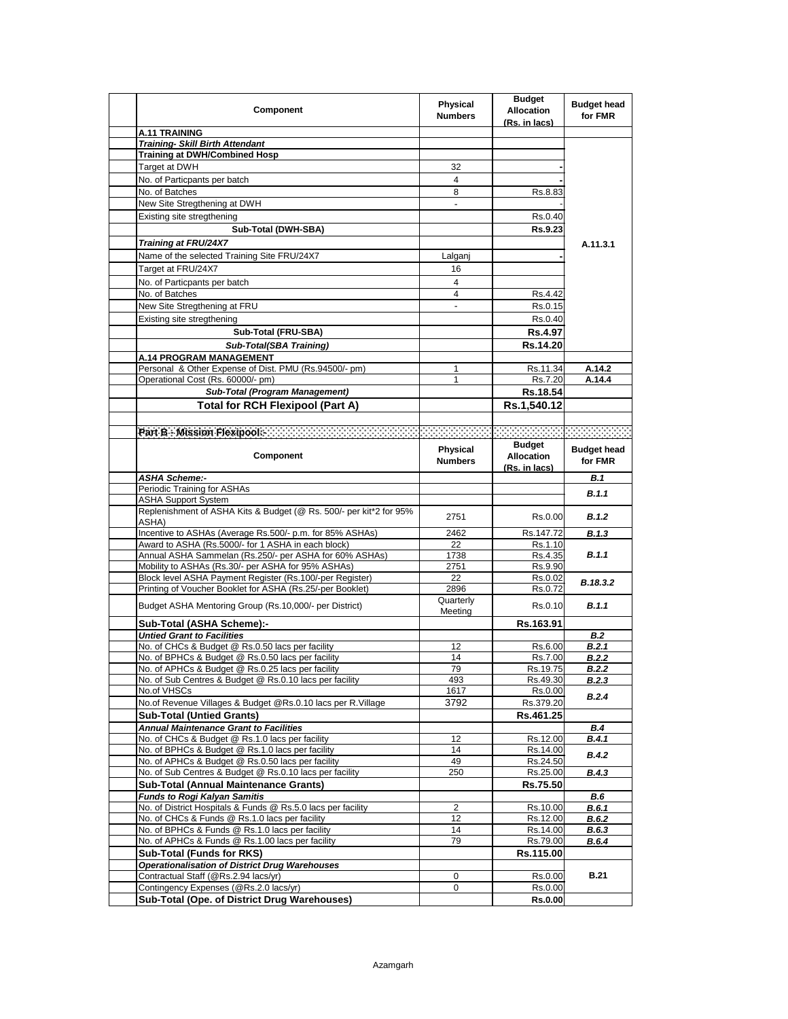| <b>Component</b>                                                               | Physical<br><b>Numbers</b> | <b>Budget</b><br><b>Allocation</b><br>(Rs. in lacs) | <b>Budget head</b><br>for FMR |
|--------------------------------------------------------------------------------|----------------------------|-----------------------------------------------------|-------------------------------|
| A.11 TRAINING                                                                  |                            |                                                     |                               |
| <b>Training- Skill Birth Attendant</b>                                         |                            |                                                     |                               |
| <b>Training at DWH/Combined Hosp</b>                                           |                            |                                                     |                               |
| Target at DWH                                                                  | 32                         |                                                     |                               |
| No. of Particpants per batch                                                   | 4                          |                                                     |                               |
| No. of Batches                                                                 | 8                          | Rs.8.83                                             |                               |
| New Site Stregthening at DWH                                                   | $\overline{\phantom{a}}$   |                                                     |                               |
| Existing site stregthening                                                     |                            | Rs.0.40                                             |                               |
|                                                                                |                            |                                                     |                               |
| Sub-Total (DWH-SBA)                                                            |                            | Rs.9.23                                             |                               |
| Training at FRU/24X7                                                           |                            |                                                     | A.11.3.1                      |
| Name of the selected Training Site FRU/24X7                                    | Lalganj                    |                                                     |                               |
| Target at FRU/24X7                                                             | 16                         |                                                     |                               |
| No. of Particpants per batch                                                   | 4                          |                                                     |                               |
|                                                                                |                            |                                                     |                               |
| No. of Batches                                                                 | 4                          | Rs.4.42                                             |                               |
| New Site Stregthening at FRU                                                   | $\blacksquare$             | Rs.0.15                                             |                               |
| Existing site stregthening                                                     |                            | Rs.0.40                                             |                               |
| Sub-Total (FRU-SBA)                                                            |                            | Rs.4.97                                             |                               |
| Sub-Total(SBA Training)                                                        |                            | Rs.14.20                                            |                               |
| <b>A.14 PROGRAM MANAGEMENT</b>                                                 |                            |                                                     |                               |
| Personal & Other Expense of Dist. PMU (Rs.94500/- pm)                          | 1                          | Rs.11.34                                            | A.14.2                        |
| Operational Cost (Rs. 60000/- pm)                                              |                            | Rs.7.20                                             | A.14.4                        |
|                                                                                |                            |                                                     |                               |
| Sub-Total (Program Management)                                                 |                            | Rs.18.54                                            |                               |
| <b>Total for RCH Flexipool (Part A)</b>                                        |                            | Rs.1,540.12                                         |                               |
|                                                                                |                            |                                                     |                               |
|                                                                                |                            |                                                     |                               |
|                                                                                |                            | <b>Budget</b>                                       |                               |
| Component                                                                      | <b>Physical</b>            | <b>Allocation</b>                                   | <b>Budget head</b>            |
|                                                                                | <b>Numbers</b>             | (Rs. in lacs)                                       | for FMR                       |
| <b>ASHA Scheme:-</b>                                                           |                            |                                                     | B.1                           |
| Periodic Training for ASHAs                                                    |                            |                                                     |                               |
| <b>ASHA Support System</b>                                                     |                            |                                                     | B.1.1                         |
| Replenishment of ASHA Kits & Budget (@ Rs. 500/- per kit*2 for 95%             |                            |                                                     |                               |
| ASHA)                                                                          | 2751                       | Rs.0.00                                             | <b>B.1.2</b>                  |
| Incentive to ASHAs (Average Rs.500/- p.m. for 85% ASHAs)                       | 2462                       | Rs.147.72                                           |                               |
| Award to ASHA (Rs.5000/- for 1 ASHA in each block)                             |                            |                                                     | B.1.3                         |
| Annual ASHA Sammelan (Rs.250/- per ASHA for 60% ASHAs)                         | 22                         | Rs.1.10                                             | B.1.1                         |
| Mobility to ASHAs (Rs.30/- per ASHA for 95% ASHAs)                             | 1738                       | Rs.4.35<br>Rs.9.90                                  |                               |
|                                                                                | 2751                       |                                                     |                               |
| Block level ASHA Payment Register (Rs.100/-per Register)                       | 22                         | Rs.0.02                                             | B.18.3.2                      |
| Printing of Voucher Booklet for ASHA (Rs.25/-per Booklet)                      | 2896                       | Rs.0.72                                             |                               |
| Budget ASHA Mentoring Group (Rs.10,000/- per District)                         | Quarterly                  | Rs.0.10                                             | <b>B.1.1</b>                  |
|                                                                                | Meeting                    |                                                     |                               |
|                                                                                |                            | Rs.163.91                                           |                               |
| Sub-Total (ASHA Scheme):-                                                      |                            |                                                     |                               |
| <b>Untied Grant to Facilities</b>                                              |                            |                                                     | <b>B.2</b>                    |
| No. of CHCs & Budget @ Rs.0.50 lacs per facility                               | 12                         | Rs.6.00                                             | B.2.1                         |
| No. of BPHCs & Budget @ Rs.0.50 lacs per facility                              | 14                         | Rs.7.00                                             | B.2.2                         |
| No. of APHCs & Budget @ Rs.0.25 lacs per facility                              | 79                         | Rs.19.75                                            | <b>B.2.2</b>                  |
| No. of Sub Centres & Budget @ Rs.0.10 lacs per facility                        | 493                        | Rs.49.30                                            | <b>B.2.3</b>                  |
| No.of VHSCs                                                                    | 1617                       | Rs.0.00                                             |                               |
|                                                                                |                            |                                                     | B.2.4                         |
| No.of Revenue Villages & Budget @Rs.0.10 lacs per R.Village                    | 3792                       | Rs.379.20                                           |                               |
| <b>Sub-Total (Untied Grants)</b>                                               |                            | Rs.461.25                                           |                               |
| <b>Annual Maintenance Grant to Facilities</b>                                  |                            |                                                     | <b>B.4</b>                    |
| No. of CHCs & Budget @ Rs.1.0 lacs per facility                                | 12                         | Rs.12.00                                            | B.4.1                         |
| No. of BPHCs & Budget @ Rs.1.0 lacs per facility                               | 14                         | Rs.14.00                                            | <b>B.4.2</b>                  |
| No. of APHCs & Budget @ Rs.0.50 lacs per facility                              | 49                         | Rs.24.50                                            |                               |
| No. of Sub Centres & Budget @ Rs.0.10 lacs per facility                        | 250                        | Rs.25.00                                            | <b>B.4.3</b>                  |
| Sub-Total (Annual Maintenance Grants)                                          |                            | Rs.75.50                                            |                               |
| <b>Funds to Rogi Kalyan Samitis</b>                                            |                            |                                                     | B.6                           |
| No. of District Hospitals & Funds @ Rs.5.0 lacs per facility                   | 2                          | Rs.10.00                                            | <b>B.6.1</b>                  |
| No. of CHCs & Funds @ Rs.1.0 lacs per facility                                 | 12                         | Rs.12.00                                            | <b>B.6.2</b>                  |
| No. of BPHCs & Funds @ Rs.1.0 lacs per facility                                | 14                         | Rs.14.00                                            | <b>B.6.3</b>                  |
| No. of APHCs & Funds @ Rs.1.00 lacs per facility                               | 79                         | Rs.79.00                                            | <b>B.6.4</b>                  |
| <b>Sub-Total (Funds for RKS)</b>                                               |                            | Rs.115.00                                           |                               |
|                                                                                |                            |                                                     |                               |
| <b>Operationalisation of District Drug Warehouses</b>                          |                            |                                                     | <b>B.21</b>                   |
| Contractual Staff (@Rs.2.94 lacs/yr)<br>Contingency Expenses (@Rs.2.0 lacs/yr) | 0<br>0                     | Rs.0.00<br>Rs.0.00                                  |                               |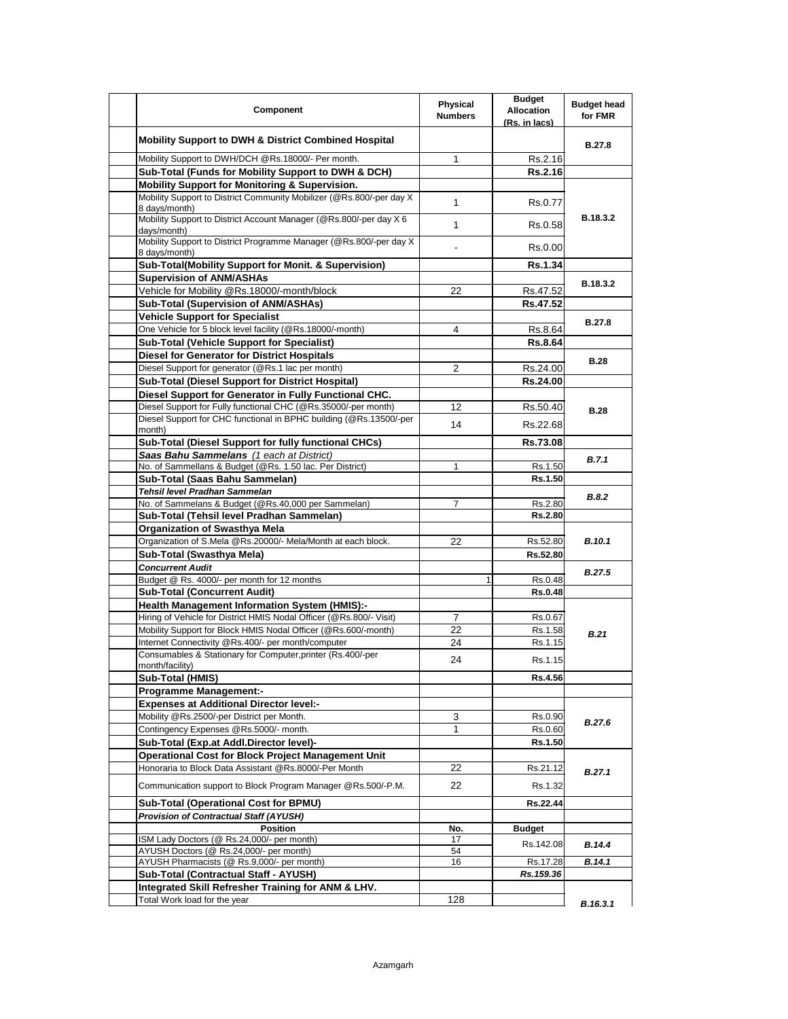| Component                                                                             | Physical<br><b>Numbers</b> | <b>Budget</b><br><b>Allocation</b><br>(Rs. in lacs) | <b>Budget head</b><br>for FMR |
|---------------------------------------------------------------------------------------|----------------------------|-----------------------------------------------------|-------------------------------|
| <b>Mobility Support to DWH &amp; District Combined Hospital</b>                       |                            |                                                     | B.27.8                        |
| Mobility Support to DWH/DCH @Rs.18000/- Per month.                                    | 1                          | Rs.2.16                                             |                               |
| Sub-Total (Funds for Mobility Support to DWH & DCH)                                   |                            | Rs.2.16                                             |                               |
| Mobility Support for Monitoring & Supervision.                                        |                            |                                                     |                               |
| Mobility Support to District Community Mobilizer (@Rs.800/-per day X<br>8 days/month) | 1                          | Rs.0.77                                             |                               |
| Mobility Support to District Account Manager (@Rs.800/-per day X 6<br>days/month)     | 1                          | Rs.0.58                                             | B.18.3.2                      |
| Mobility Support to District Programme Manager (@Rs.800/-per day X)<br>8 days/month)  |                            | Rs.0.00                                             |                               |
| Sub-Total(Mobility Support for Monit. & Supervision)                                  |                            | <b>Rs.1.34</b>                                      |                               |
| <b>Supervision of ANM/ASHAs</b>                                                       |                            |                                                     |                               |
| Vehicle for Mobility @Rs.18000/-month/block                                           | 22                         | Rs.47.52                                            | B.18.3.2                      |
| Sub-Total (Supervision of ANM/ASHAs)                                                  |                            | Rs.47.52                                            |                               |
| <b>Vehicle Support for Specialist</b>                                                 |                            |                                                     |                               |
| One Vehicle for 5 block level facility (@Rs.18000/-month)                             | 4                          | Rs.8.64                                             | <b>B.27.8</b>                 |
| <b>Sub-Total (Vehicle Support for Specialist)</b>                                     |                            | <b>Rs.8.64</b>                                      |                               |
| <b>Diesel for Generator for District Hospitals</b>                                    |                            |                                                     |                               |
| Diesel Support for generator (@Rs.1 lac per month)                                    | 2                          | Rs.24.00                                            | <b>B.28</b>                   |
| Sub-Total (Diesel Support for District Hospital)                                      |                            | Rs.24.00                                            |                               |
| Diesel Support for Generator in Fully Functional CHC.                                 |                            |                                                     |                               |
| Diesel Support for Fully functional CHC (@Rs.35000/-per month)                        | 12                         | Rs.50.40                                            | <b>B.28</b>                   |
| Diesel Support for CHC functional in BPHC building (@Rs.13500/-per<br>month)          | 14                         | Rs.22.68                                            |                               |
| Sub-Total (Diesel Support for fully functional CHCs)                                  |                            | Rs.73.08                                            |                               |
| Saas Bahu Sammelans (1 each at District)                                              |                            |                                                     |                               |
| No. of Sammellans & Budget (@Rs. 1.50 lac. Per District)                              | 1                          | Rs.1.50                                             | B.7.1                         |
| Sub-Total (Saas Bahu Sammelan)                                                        |                            | Rs.1.50                                             |                               |
| Tehsil level Pradhan Sammelan                                                         |                            |                                                     | B.8.2                         |
| No. of Sammelans & Budget (@Rs.40,000 per Sammelan)                                   | 7                          | Rs.2.80                                             |                               |
| Sub-Total (Tehsil level Pradhan Sammelan)                                             |                            | <b>Rs.2.80</b>                                      |                               |
| <b>Organization of Swasthya Mela</b>                                                  |                            |                                                     |                               |
| Organization of S.Mela @Rs.20000/- Mela/Month at each block.                          | 22                         | Rs.52.80                                            | <b>B.10.1</b>                 |
| Sub-Total (Swasthya Mela)                                                             |                            | Rs.52.80                                            |                               |
| <b>Concurrent Audit</b>                                                               |                            |                                                     | <b>B.27.5</b>                 |
| Budget @ Rs. 4000/- per month for 12 months                                           | 1                          | Rs.0.48                                             |                               |
| <b>Sub-Total (Concurrent Audit)</b>                                                   |                            | <b>Rs.0.48</b>                                      |                               |
| <b>Health Management Information System (HMIS):-</b>                                  |                            |                                                     |                               |
| Hiring of Vehicle for District HMIS Nodal Officer (@Rs.800/- Visit)                   | 7                          | Rs.0.67                                             |                               |
| Mobility Support for Block HMIS Nodal Officer (@Rs.600/-month)                        | 22                         | Rs.1.58                                             | B.21                          |
| Internet Connectivity @Rs.400/- per month/computer                                    | 24                         | Rs.1.15                                             |                               |
| Consumables & Stationary for Computer, printer (Rs.400/-per                           | 24                         | Rs.1.15                                             |                               |
| month/facility)                                                                       |                            |                                                     |                               |
| Sub-Total (HMIS)                                                                      |                            | <b>Rs.4.56</b>                                      |                               |
| <b>Programme Management:-</b>                                                         |                            |                                                     |                               |
| <b>Expenses at Additional Director level:-</b>                                        |                            |                                                     |                               |
| Mobility @Rs.2500/-per District per Month.                                            | 3                          | Rs.0.90                                             | <b>B.27.6</b>                 |
| Contingency Expenses @Rs.5000/- month.                                                | $\mathbf{1}$               | Rs.0.60                                             |                               |
| Sub-Total (Exp.at Addl.Director level)-                                               |                            | Rs.1.50                                             |                               |
| <b>Operational Cost for Block Project Management Unit</b>                             |                            |                                                     |                               |
| Honoraria to Block Data Assistant @Rs.8000/-Per Month                                 | 22                         | Rs.21.12                                            | B.27.1                        |
| Communication support to Block Program Manager @Rs.500/-P.M.                          | 22                         | Rs.1.32                                             |                               |
| Sub-Total (Operational Cost for BPMU)                                                 |                            | Rs.22.44                                            |                               |
| <b>Provision of Contractual Staff (AYUSH)</b>                                         |                            |                                                     |                               |
| <b>Position</b>                                                                       | No.                        | <b>Budget</b>                                       |                               |
| ISM Lady Doctors (@ Rs.24,000/- per month)                                            | 17                         | Rs.142.08                                           | B.14.4                        |
| AYUSH Doctors (@ Rs.24,000/- per month)<br>AYUSH Pharmacists (@ Rs.9,000/- per month) | 54<br>16                   |                                                     |                               |
| Sub-Total (Contractual Staff - AYUSH)                                                 |                            | Rs.17.28<br>Rs. 159.36                              | B.14.1                        |
| Integrated Skill Refresher Training for ANM & LHV.                                    |                            |                                                     |                               |
|                                                                                       | 128                        |                                                     |                               |
| Total Work load for the year                                                          |                            |                                                     | B.16.3.1                      |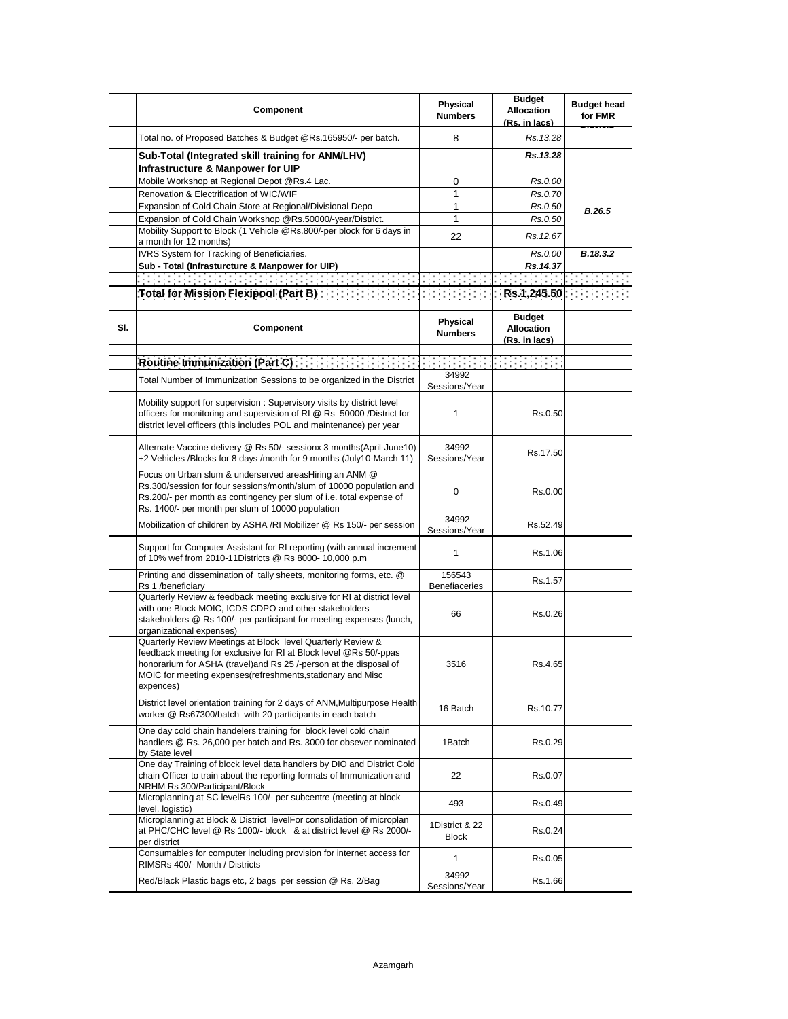|     | Component                                                                                                                                                                                                                                                                           | Physical<br><b>Numbers</b>     | <b>Budget</b><br><b>Allocation</b><br>(Rs. in lacs) | <b>Budget head</b><br>for FMR |
|-----|-------------------------------------------------------------------------------------------------------------------------------------------------------------------------------------------------------------------------------------------------------------------------------------|--------------------------------|-----------------------------------------------------|-------------------------------|
|     | Total no. of Proposed Batches & Budget @Rs.165950/- per batch.                                                                                                                                                                                                                      | 8                              | Rs. 13.28                                           |                               |
|     | Sub-Total (Integrated skill training for ANM/LHV)                                                                                                                                                                                                                                   |                                | Rs.13.28                                            |                               |
|     | Infrastructure & Manpower for UIP                                                                                                                                                                                                                                                   |                                |                                                     |                               |
|     | Mobile Workshop at Regional Depot @Rs.4 Lac.                                                                                                                                                                                                                                        | 0                              | Rs.0.00                                             |                               |
|     | Renovation & Electrification of WIC/WIF                                                                                                                                                                                                                                             | 1                              | Rs.0.70                                             |                               |
|     | Expansion of Cold Chain Store at Regional/Divisional Depo                                                                                                                                                                                                                           | 1                              | Rs.0.50                                             | B.26.5                        |
|     | Expansion of Cold Chain Workshop @Rs.50000/-year/District.                                                                                                                                                                                                                          | 1                              | Rs.0.50                                             |                               |
|     | Mobility Support to Block (1 Vehicle @Rs.800/-per block for 6 days in<br>a month for 12 months)                                                                                                                                                                                     | 22                             | Rs. 12.67                                           |                               |
|     | IVRS System for Tracking of Beneficiaries.                                                                                                                                                                                                                                          |                                | Rs.0.00                                             | B.18.3.2                      |
|     | Sub - Total (Infrasturcture & Manpower for UIP)                                                                                                                                                                                                                                     |                                | Rs.14.37                                            |                               |
|     |                                                                                                                                                                                                                                                                                     |                                |                                                     |                               |
|     |                                                                                                                                                                                                                                                                                     |                                | Rs.1,245.50                                         |                               |
|     |                                                                                                                                                                                                                                                                                     |                                |                                                     |                               |
| SI. | Component                                                                                                                                                                                                                                                                           | Physical<br><b>Numbers</b>     | <b>Budget</b><br><b>Allocation</b><br>(Rs. in lacs) |                               |
|     |                                                                                                                                                                                                                                                                                     |                                |                                                     |                               |
|     | Total Number of Immunization Sessions to be organized in the District                                                                                                                                                                                                               | 34992<br>Sessions/Year         |                                                     |                               |
|     | Mobility support for supervision: Supervisory visits by district level<br>officers for monitoring and supervision of RI @ Rs 50000 /District for<br>district level officers (this includes POL and maintenance) per year                                                            | 1                              | Rs.0.50                                             |                               |
|     | Alternate Vaccine delivery @ Rs 50/- sessionx 3 months(April-June10)<br>+2 Vehicles /Blocks for 8 days /month for 9 months (July10-March 11)                                                                                                                                        | 34992<br>Sessions/Year         | Rs.17.50                                            |                               |
|     | Focus on Urban slum & underserved areasHiring an ANM @<br>Rs.300/session for four sessions/month/slum of 10000 population and<br>Rs.200/- per month as contingency per slum of i.e. total expense of<br>Rs. 1400/- per month per slum of 10000 population                           | 0                              | Rs.0.00                                             |                               |
|     | Mobilization of children by ASHA /RI Mobilizer @ Rs 150/- per session                                                                                                                                                                                                               | 34992<br>Sessions/Year         | Rs.52.49                                            |                               |
|     | Support for Computer Assistant for RI reporting (with annual increment<br>of 10% wef from 2010-11Districts @ Rs 8000- 10,000 p.m                                                                                                                                                    | $\mathbf{1}$                   | Rs.1.06                                             |                               |
|     | Printing and dissemination of tally sheets, monitoring forms, etc. @<br>Rs 1 /beneficiary                                                                                                                                                                                           | 156543<br>Benefiaceries        | Rs.1.57                                             |                               |
|     | Quarterly Review & feedback meeting exclusive for RI at district level<br>with one Block MOIC, ICDS CDPO and other stakeholders<br>stakeholders @ Rs 100/- per participant for meeting expenses (lunch,<br>organizational expenses)                                                 | 66                             | Rs.0.26                                             |                               |
|     | Quarterly Review Meetings at Block level Quarterly Review &<br>feedback meeting for exclusive for RI at Block level @Rs 50/-ppas<br>honorarium for ASHA (travel) and Rs 25 /-person at the disposal of<br>MOIC for meeting expenses (refreshments, stationary and Misc<br>expences) | 3516                           | Rs.4.65                                             |                               |
|     | District level orientation training for 2 days of ANM, Multipurpose Health<br>worker @ Rs67300/batch with 20 participants in each batch                                                                                                                                             | 16 Batch                       | Rs.10.77                                            |                               |
|     | One day cold chain handelers training for block level cold chain<br>handlers @ Rs. 26,000 per batch and Rs. 3000 for obsever nominated<br>by State level                                                                                                                            | 1Batch                         | Rs.0.29                                             |                               |
|     | One day Training of block level data handlers by DIO and District Cold<br>chain Officer to train about the reporting formats of Immunization and<br>NRHM Rs 300/Participant/Block                                                                                                   | 22                             | Rs.0.07                                             |                               |
|     | Microplanning at SC levelRs 100/- per subcentre (meeting at block<br>level, logistic)                                                                                                                                                                                               | 493                            | Rs.0.49                                             |                               |
|     | Microplanning at Block & District levelFor consolidation of microplan<br>at PHC/CHC level @ Rs 1000/- block & at district level @ Rs 2000/-<br>per district                                                                                                                         | 1District & 22<br><b>Block</b> | Rs.0.24                                             |                               |
|     | Consumables for computer including provision for internet access for<br>RIMSRs 400/- Month / Districts                                                                                                                                                                              | 1                              | Rs.0.05                                             |                               |
|     | Red/Black Plastic bags etc, 2 bags per session @ Rs. 2/Bag                                                                                                                                                                                                                          | 34992<br>Sessions/Year         | Rs.1.66                                             |                               |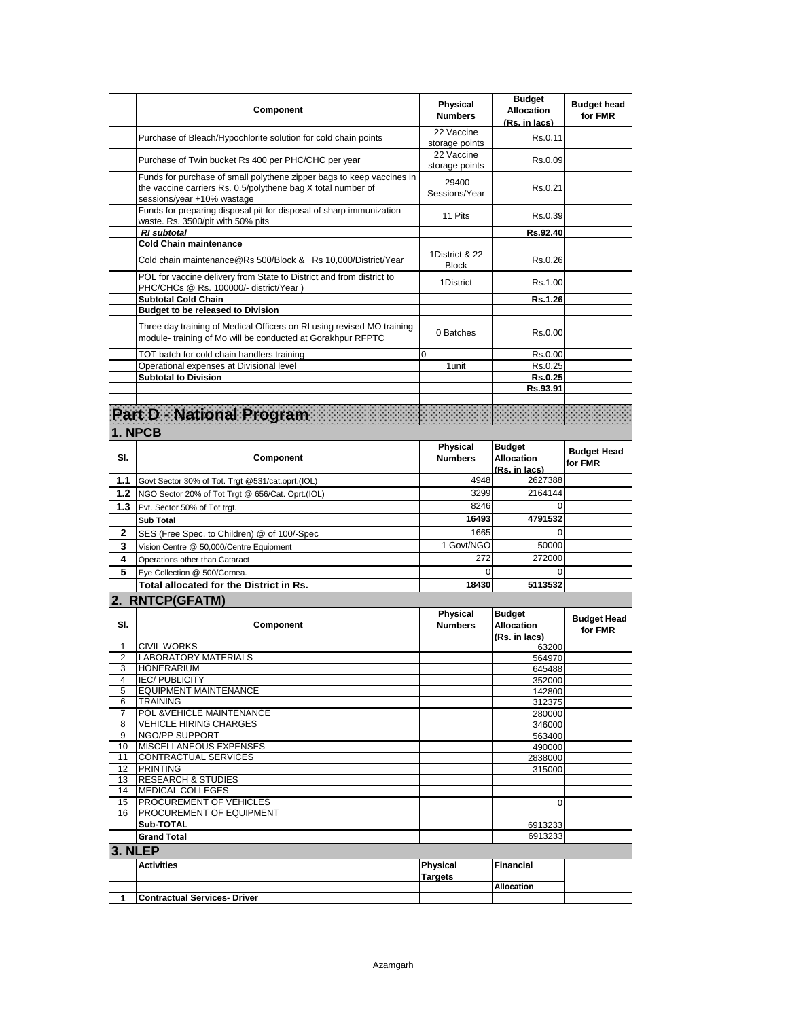|         | Component                                                                                                                                                           | Physical<br><b>Numbers</b>        | <b>Budget</b><br><b>Allocation</b><br>(Rs. in lacs) | <b>Budget head</b><br>for FMR |
|---------|---------------------------------------------------------------------------------------------------------------------------------------------------------------------|-----------------------------------|-----------------------------------------------------|-------------------------------|
|         | Purchase of Bleach/Hypochlorite solution for cold chain points                                                                                                      | 22 Vaccine<br>storage points      | Rs.0.11                                             |                               |
|         | Purchase of Twin bucket Rs 400 per PHC/CHC per year                                                                                                                 | 22 Vaccine<br>storage points      | Rs.0.09                                             |                               |
|         | Funds for purchase of small polythene zipper bags to keep vaccines in<br>the vaccine carriers Rs. 0.5/polythene bag X total number of<br>sessions/year +10% wastage | 29400<br>Sessions/Year            | Rs.0.21                                             |                               |
|         | Funds for preparing disposal pit for disposal of sharp immunization<br>waste. Rs. 3500/pit with 50% pits                                                            | 11 Pits                           | Rs.0.39                                             |                               |
|         | <b>RI</b> subtotal                                                                                                                                                  |                                   | Rs.92.40                                            |                               |
|         | <b>Cold Chain maintenance</b>                                                                                                                                       |                                   |                                                     |                               |
|         | Cold chain maintenance@Rs 500/Block & Rs 10,000/District/Year                                                                                                       | 1District & 22<br><b>Block</b>    | Rs.0.26                                             |                               |
|         | POL for vaccine delivery from State to District and from district to<br>PHC/CHCs @ Rs. 100000/- district/Year)                                                      | 1District                         | Rs.1.00                                             |                               |
|         | <b>Subtotal Cold Chain</b>                                                                                                                                          |                                   | <b>Rs.1.26</b>                                      |                               |
|         | <b>Budget to be released to Division</b>                                                                                                                            |                                   |                                                     |                               |
|         | Three day training of Medical Officers on RI using revised MO training<br>module- training of Mo will be conducted at Gorakhpur RFPTC                               | 0 Batches                         | Rs.0.00                                             |                               |
|         | TOT batch for cold chain handlers training                                                                                                                          | 0                                 | Rs.0.00                                             |                               |
|         | Operational expenses at Divisional level                                                                                                                            | 1 unit                            | Rs.0.25                                             |                               |
|         | <b>Subtotal to Division</b>                                                                                                                                         |                                   | Rs.0.25                                             |                               |
|         |                                                                                                                                                                     |                                   | Rs.93.91                                            |                               |
|         |                                                                                                                                                                     |                                   |                                                     |                               |
|         | Part De National Program (1998) and the contract of the Council of the Council of the Council of the Council o                                                      |                                   |                                                     |                               |
|         | 1. NPCB                                                                                                                                                             |                                   |                                                     |                               |
|         |                                                                                                                                                                     | Physical                          | <b>Budget</b>                                       |                               |
| SI.     | Component                                                                                                                                                           | <b>Numbers</b>                    | <b>Allocation</b>                                   | <b>Budget Head</b>            |
|         |                                                                                                                                                                     |                                   | (Rs. in lacs)                                       | for FMR                       |
| 1.1     | Govt Sector 30% of Tot. Trgt @531/cat.oprt.(IOL)                                                                                                                    | 4948                              | 2627388                                             |                               |
| 1.2     | NGO Sector 20% of Tot Trgt @ 656/Cat. Oprt.(IOL)                                                                                                                    | 3299                              | 2164144                                             |                               |
| 1.3     | Pvt. Sector 50% of Tot trgt.                                                                                                                                        | 8246                              | $\Omega$                                            |                               |
|         |                                                                                                                                                                     |                                   |                                                     |                               |
|         |                                                                                                                                                                     | 16493                             | 4791532                                             |                               |
|         | <b>Sub Total</b>                                                                                                                                                    |                                   | $\Omega$                                            |                               |
| 2       | SES (Free Spec. to Children) @ of 100/-Spec                                                                                                                         | 1665                              |                                                     |                               |
| 3       | Vision Centre @ 50,000/Centre Equipment                                                                                                                             | 1 Govt/NGO                        | 50000                                               |                               |
| 4       | Operations other than Cataract                                                                                                                                      | 272                               | 272000                                              |                               |
| 5       | Eye Collection @ 500/Cornea.                                                                                                                                        | 0                                 | $\Omega$                                            |                               |
|         | Total allocated for the District in Rs.                                                                                                                             | 18430                             | 5113532                                             |                               |
|         | 2. RNTCP(GFATM)                                                                                                                                                     |                                   |                                                     |                               |
|         |                                                                                                                                                                     | <b>Physical</b>                   | <b>Budget</b>                                       | <b>Budget Head</b>            |
| SI.     | Component                                                                                                                                                           | <b>Numbers</b>                    | <b>Allocation</b>                                   | for FMR                       |
| 1       | <b>CIVIL WORKS</b>                                                                                                                                                  |                                   | (Rs. in lacs)                                       |                               |
| 2       | <b>LABORATORY MATERIALS</b>                                                                                                                                         |                                   | 63200<br>564970                                     |                               |
| 3       | <b>HONERARIUM</b>                                                                                                                                                   |                                   | 645488                                              |                               |
| 4       | <b>IEC/PUBLICITY</b>                                                                                                                                                |                                   | 352000                                              |                               |
| 5       | <b>EQUIPMENT MAINTENANCE</b>                                                                                                                                        |                                   | 142800                                              |                               |
| 6       | <b>TRAINING</b>                                                                                                                                                     |                                   | 312375                                              |                               |
| 7       | POL & VEHICLE MAINTENANCE                                                                                                                                           |                                   | 280000                                              |                               |
| 8       | <b>VEHICLE HIRING CHARGES</b>                                                                                                                                       |                                   | 346000                                              |                               |
| 9<br>10 | NGO/PP SUPPORT<br>MISCELLANEOUS EXPENSES                                                                                                                            |                                   | 563400<br>490000                                    |                               |
| 11      | <b>CONTRACTUAL SERVICES</b>                                                                                                                                         |                                   | 2838000                                             |                               |
| 12      | <b>PRINTING</b>                                                                                                                                                     |                                   | 315000                                              |                               |
| 13      | <b>RESEARCH &amp; STUDIES</b>                                                                                                                                       |                                   |                                                     |                               |
| 14      | <b>MEDICAL COLLEGES</b>                                                                                                                                             |                                   |                                                     |                               |
| 15      | PROCUREMENT OF VEHICLES                                                                                                                                             |                                   | 0                                                   |                               |
| 16      | PROCUREMENT OF EQUIPMENT                                                                                                                                            |                                   |                                                     |                               |
|         | Sub-TOTAL                                                                                                                                                           |                                   | 6913233                                             |                               |
|         | <b>Grand Total</b>                                                                                                                                                  |                                   | 6913233                                             |                               |
| 3. NLEP |                                                                                                                                                                     |                                   |                                                     |                               |
|         | <b>Activities</b>                                                                                                                                                   | <b>Physical</b><br><b>Targets</b> | Financial                                           |                               |
| 1       | <b>Contractual Services- Driver</b>                                                                                                                                 |                                   | <b>Allocation</b>                                   |                               |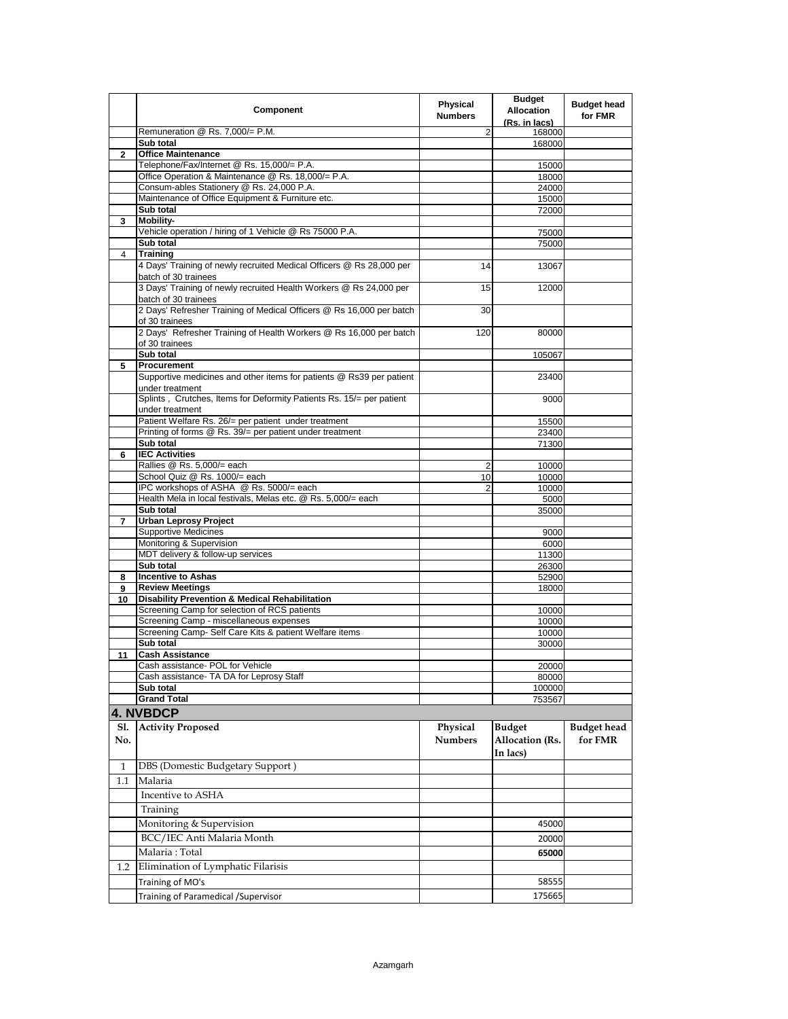|             | Component                                                                                         | Physical<br><b>Numbers</b> | <b>Budget</b><br><b>Allocation</b><br>(Rs. in lacs) | <b>Budget head</b><br>for FMR |
|-------------|---------------------------------------------------------------------------------------------------|----------------------------|-----------------------------------------------------|-------------------------------|
|             | Remuneration @ Rs. 7,000/= P.M.                                                                   | 2                          | 168000                                              |                               |
|             | Sub total                                                                                         |                            | 168000                                              |                               |
| $\mathbf 2$ | <b>Office Maintenance</b><br>Telephone/Fax/Internet @ Rs. 15,000/= P.A.                           |                            | 15000                                               |                               |
|             | Office Operation & Maintenance @ Rs. 18,000/= P.A.                                                |                            | 18000                                               |                               |
|             | Consum-ables Stationery @ Rs. 24,000 P.A.                                                         |                            | 24000                                               |                               |
|             | Maintenance of Office Equipment & Furniture etc.                                                  |                            | 15000                                               |                               |
|             | Sub total                                                                                         |                            | 72000                                               |                               |
| 3           | <b>Mobility-</b><br>Vehicle operation / hiring of 1 Vehicle @ Rs 75000 P.A.                       |                            | 75000                                               |                               |
|             | Sub total                                                                                         |                            | 75000                                               |                               |
| 4           | <b>Training</b>                                                                                   |                            |                                                     |                               |
|             | 4 Days' Training of newly recruited Medical Officers @ Rs 28,000 per<br>batch of 30 trainees      | 14                         | 13067                                               |                               |
|             | 3 Days' Training of newly recruited Health Workers @ Rs 24,000 per<br>batch of 30 trainees        | 15                         | 12000                                               |                               |
|             | 2 Days' Refresher Training of Medical Officers @ Rs 16,000 per batch<br>of 30 trainees            | 30                         |                                                     |                               |
|             | 2 Days' Refresher Training of Health Workers @ Rs 16,000 per batch<br>of 30 trainees              | 120                        | 80000                                               |                               |
|             | Sub total                                                                                         |                            | 105067                                              |                               |
| 5           | Procurement<br>Supportive medicines and other items for patients @ Rs39 per patient               |                            | 23400                                               |                               |
|             | under treatment<br>Splints, Crutches, Items for Deformity Patients Rs. 15/= per patient           |                            | 9000                                                |                               |
|             | under treatment<br>Patient Welfare Rs. 26/= per patient under treatment                           |                            | 15500                                               |                               |
|             | Printing of forms @ Rs. 39/= per patient under treatment                                          |                            | 23400                                               |                               |
|             | Sub total                                                                                         |                            | 71300                                               |                               |
| 6           | <b>IEC Activities</b>                                                                             |                            |                                                     |                               |
|             | Rallies @ Rs. 5,000/= each                                                                        | $\overline{2}$             | 10000                                               |                               |
|             | School Quiz @ Rs. 1000/= each<br>IPC workshops of ASHA @ Rs. 5000/= each                          | 10<br>$\overline{2}$       | 10000                                               |                               |
|             | Health Mela in local festivals, Melas etc. @ Rs. 5,000/= each                                     |                            | 10000<br>5000                                       |                               |
|             | Sub total                                                                                         |                            | 35000                                               |                               |
| 7           | <b>Urban Leprosy Project</b>                                                                      |                            |                                                     |                               |
|             | <b>Supportive Medicines</b>                                                                       |                            | 9000                                                |                               |
|             | Monitoring & Supervision<br>MDT delivery & follow-up services                                     |                            | 6000                                                |                               |
|             | Sub total                                                                                         |                            | 11300<br>26300                                      |                               |
| 8           | <b>Incentive to Ashas</b>                                                                         |                            | 52900                                               |                               |
| 9           | <b>Review Meetings</b>                                                                            |                            | 18000                                               |                               |
| 10          | <b>Disability Prevention &amp; Medical Rehabilitation</b>                                         |                            |                                                     |                               |
|             | Screening Camp for selection of RCS patients                                                      |                            | 10000                                               |                               |
|             | Screening Camp - miscellaneous expenses<br>Screening Camp- Self Care Kits & patient Welfare items |                            | 10000<br>10000                                      |                               |
|             | Sub total                                                                                         |                            | 30000                                               |                               |
| 11          | <b>Cash Assistance</b>                                                                            |                            |                                                     |                               |
|             | Cash assistance- POL for Vehicle                                                                  |                            | 20000                                               |                               |
|             | Cash assistance- TA DA for Leprosy Staff                                                          |                            | 80000                                               |                               |
|             | Sub total<br><b>Grand Total</b>                                                                   |                            | 100000                                              |                               |
|             | <b>4. NVBDCP</b>                                                                                  |                            | 753567                                              |                               |
| Sl.         | <b>Activity Proposed</b>                                                                          | Physical                   | <b>Budget</b>                                       | <b>Budget head</b>            |
| No.         |                                                                                                   | <b>Numbers</b>             | <b>Allocation</b> (Rs.<br>In lacs)                  | for FMR                       |
| 1           | DBS (Domestic Budgetary Support)                                                                  |                            |                                                     |                               |
| 1.1         | Malaria                                                                                           |                            |                                                     |                               |
|             | Incentive to ASHA                                                                                 |                            |                                                     |                               |
|             |                                                                                                   |                            |                                                     |                               |
|             | Training                                                                                          |                            |                                                     |                               |
|             | Monitoring & Supervision                                                                          |                            | 45000                                               |                               |
|             | BCC/IEC Anti Malaria Month                                                                        |                            | 20000                                               |                               |
| 1.2         | Malaria: Total<br>Elimination of Lymphatic Filarisis                                              |                            | 65000                                               |                               |
|             |                                                                                                   |                            |                                                     |                               |
|             | Training of MO's                                                                                  |                            | 58555                                               |                               |
|             | Training of Paramedical / Supervisor                                                              |                            | 175665                                              |                               |